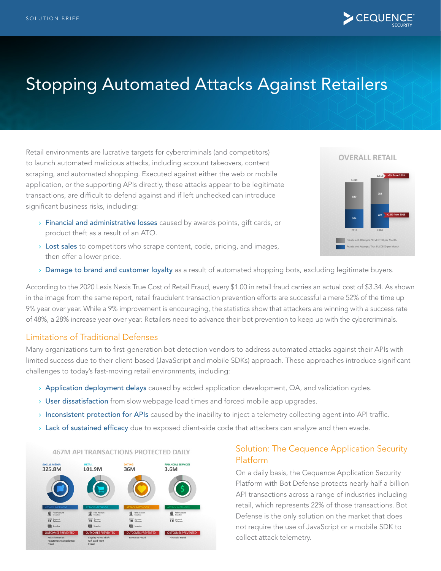

# Stopping Automated Attacks Against Retailers

Retail environments are lucrative targets for cybercriminals (and competitors) to launch automated malicious attacks, including account takeovers, content scraping, and automated shopping. Executed against either the web or mobile application, or the supporting APIs directly, these attacks appear to be legitimate transactions, are difficult to defend against and if left unchecked can introduce significant business risks, including:

- **> Financial and administrative losses** caused by awards points, gift cards, or product theft as a result of an ATO.
- $\rightarrow$  Lost sales to competitors who scrape content, code, pricing, and images, then offer a lower price.

#### **OVERALL RETAIL**



> Damage to brand and customer loyalty as a result of automated shopping bots, excluding legitimate buyers.

According to the 2020 Lexis Nexis True Cost of Retail Fraud, every \$1.00 in retail fraud carries an actual cost of \$3.34. As shown in the image from the same report, retail fraudulent transaction prevention efforts are successful a mere 52% of the time up 9% year over year. While a 9% improvement is encouraging, the statistics show that attackers are winning with a success rate of 48%, a 28% increase year-over-year. Retailers need to advance their bot prevention to keep up with the cybercriminals.

#### Limitations of Traditional Defenses

Many organizations turn to first-generation bot detection vendors to address automated attacks against their APIs with limited success due to their client-based (JavaScript and mobile SDKs) approach. These approaches introduce significant challenges to today's fast-moving retail environments, including:

- > Application deployment delays caused by added application development, QA, and validation cycles.
- > User dissatisfaction from slow webpage load times and forced mobile app upgrades.
- › Inconsistent protection for APIs caused by the inability to inject a telemetry collecting agent into API traffic.
- > Lack of sustained efficacy due to exposed client-side code that attackers can analyze and then evade.



#### 467M API TRANSACTIONS PROTECTED DAILY

#### Solution: The Cequence Application Security Platform

On a daily basis, the Cequence Application Security Platform with Bot Defense protects nearly half a billion API transactions across a range of industries including retail, which represents 22% of those transactions. Bot Defense is the only solution on the market that does not require the use of JavaScript or a mobile SDK to collect attack telemetry.